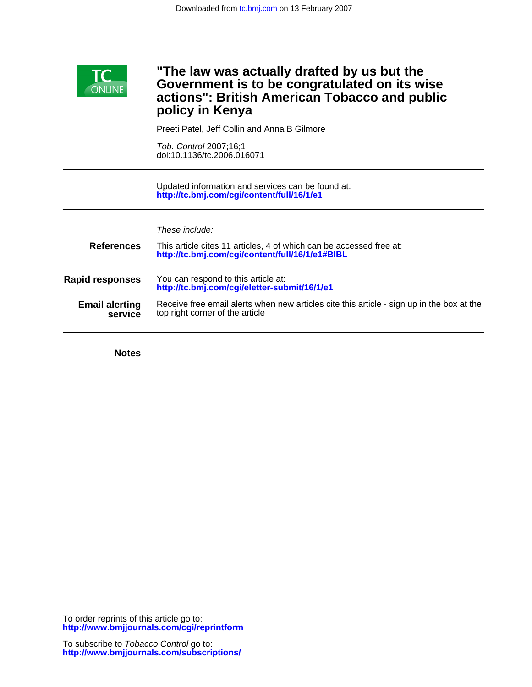

# Ī **policy in Kenya actions": British American Tobacco and public Government is to be congratulated on its wise "The law was actually drafted by us but the**

Preeti Patel, Jeff Collin and Anna B Gilmore

doi:10.1136/tc.2006.016071 Tob. Control 2007;16;1-

**<http://tc.bmj.com/cgi/content/full/16/1/e1>** Updated information and services can be found at:

These include:

| <b>References</b>                | This article cites 11 articles, 4 of which can be accessed free at:<br>http://tc.bmj.com/cgi/content/full/16/1/e1#BIBL       |
|----------------------------------|------------------------------------------------------------------------------------------------------------------------------|
| <b>Rapid responses</b>           | You can respond to this article at:<br>http://tc.bmj.com/cgi/eletter-submit/16/1/e1                                          |
| <b>Email alerting</b><br>service | Receive free email alerts when new articles cite this article - sign up in the box at the<br>top right corner of the article |

**Notes**

**<http://www.bmjjournals.com/cgi/reprintform>** To order reprints of this article go to: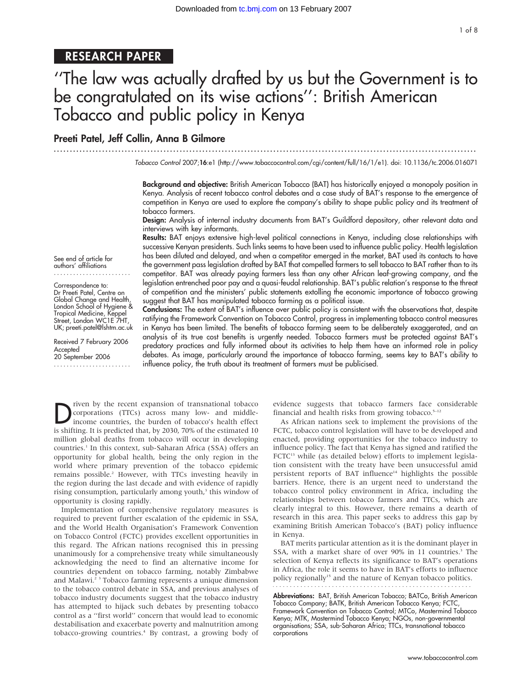## RESEARCH PAPER

# ''The law was actually drafted by us but the Government is to be congratulated on its wise actions'': British American Tobacco and public policy in Kenya

## Preeti Patel, Jeff Collin, Anna B Gilmore

............................................................... ............................................................... .....

Tobacco Control 2007;16:e1 (http://www.tobaccocontrol.com/cgi/content/full/16/1/e1). doi: 10.1136/tc.2006.016071

Background and objective: British American Tobacco (BAT) has historically enjoyed a monopoly position in Kenya. Analysis of recent tobacco control debates and a case study of BAT's response to the emergence of competition in Kenya are used to explore the company's ability to shape public policy and its treatment of tobacco farmers.

Design: Analysis of internal industry documents from BAT's Guildford depository, other relevant data and interviews with key informants.

Results: BAT enjoys extensive high-level political connections in Kenya, including close relationships with successive Kenyan presidents. Such links seems to have been used to influence public policy. Health legislation has been diluted and delayed, and when a competitor emerged in the market, BAT used its contacts to have the government pass legislation drafted by BAT that compelled farmers to sell tobacco to BAT rather than to its competitor. BAT was already paying farmers less than any other African leaf-growing company, and the legislation entrenched poor pay and a quasi-feudal relationship. BAT's public relation's response to the threat of competition and the ministers' public statements extolling the economic importance of tobacco growing suggest that BAT has manipulated tobacco farming as a political issue.

Conclusions: The extent of BAT's influence over public policy is consistent with the observations that, despite ratifying the Framework Convention on Tobacco Control, progress in implementing tobacco control measures in Kenya has been limited. The benefits of tobacco farming seem to be deliberately exaggerated, and an analysis of its true cost benefits is urgently needed. Tobacco farmers must be protected against BAT's predatory practices and fully informed about its activities to help them have an informed role in policy debates. As image, particularly around the importance of tobacco farming, seems key to BAT's ability to influence policy, the truth about its treatment of farmers must be publicised.

Tiven by the recent expansion of transnational tobacco<br>corporations (TTCs) across many low- and middle-<br>income countries, the burden of tobacco's health effect<br>is shifting. It is predicted that, by 2020, 70% of the estimat corporations (TTCs) across many low- and middleincome countries, the burden of tobacco's health effect is shifting. It is predicted that, by 2030, 70% of the estimated 10 million global deaths from tobacco will occur in developing countries.<sup>1</sup> In this context, sub-Saharan Africa (SSA) offers an opportunity for global health, being the only region in the world where primary prevention of the tobacco epidemic remains possible.<sup>2</sup> However, with TTCs investing heavily in the region during the last decade and with evidence of rapidly rising consumption, particularly among youth,<sup>3</sup> this window of opportunity is closing rapidly.

Implementation of comprehensive regulatory measures is required to prevent further escalation of the epidemic in SSA, and the World Health Organisation's Framework Convention on Tobacco Control (FCTC) provides excellent opportunities in this regard. The African nations recognised this in pressing unanimously for a comprehensive treaty while simultaneously acknowledging the need to find an alternative income for countries dependent on tobacco farming, notably Zimbabwe and Malawi.<sup>2</sup><sup>3</sup> Tobacco farming represents a unique dimension to the tobacco control debate in SSA, and previous analyses of tobacco industry documents suggest that the tobacco industry has attempted to hijack such debates by presenting tobacco control as a ''first world'' concern that would lead to economic destabilisation and exacerbate poverty and malnutrition among tobacco-growing countries.4 By contrast, a growing body of

evidence suggests that tobacco farmers face considerable financial and health risks from growing tobacco. $5-12$ 

As African nations seek to implement the provisions of the FCTC, tobacco control legislation will have to be developed and enacted, providing opportunities for the tobacco industry to influence policy. The fact that Kenya has signed and ratified the FCTC<sup>13</sup> while (as detailed below) efforts to implement legislation consistent with the treaty have been unsuccessful amid persistent reports of BAT influence<sup>14</sup> highlights the possible barriers. Hence, there is an urgent need to understand the tobacco control policy environment in Africa, including the relationships between tobacco farmers and TTCs, which are clearly integral to this. However, there remains a dearth of research in this area. This paper seeks to address this gap by examining British American Tobacco's (BAT) policy influence in Kenya.

BAT merits particular attention as it is the dominant player in SSA, with a market share of over 90% in 11 countries.<sup>3</sup> The selection of Kenya reflects its significance to BAT's operations in Africa, the role it seems to have in BAT's efforts to influence policy regionally<sup>15</sup> and the nature of Kenyan tobacco politics.

Abbreviations: BAT, British American Tobacco; BATCo, British American Tobacco Company; BATK, British American Tobacco Kenya; FCTC, Framework Convention on Tobacco Control; MTCo, Mastermind Tobacco Kenya; MTK, Mastermind Tobacco Kenya; NGOs, non-governmental organisations; SSA, sub-Saharan Africa; TTCs, transnational tobacco corporations

See end of article for authors' affiliations ........................

Correspondence to: Dr Preeti Patel, Centre on Global Change and Health, London School of Hygiene & Tropical Medicine, Keppel Street, London WC1E<sup>'</sup>7HT,

UK; preeti.patel@lshtm.ac.uk Received 7 February 2006

Accepted 20 September 2006 ........................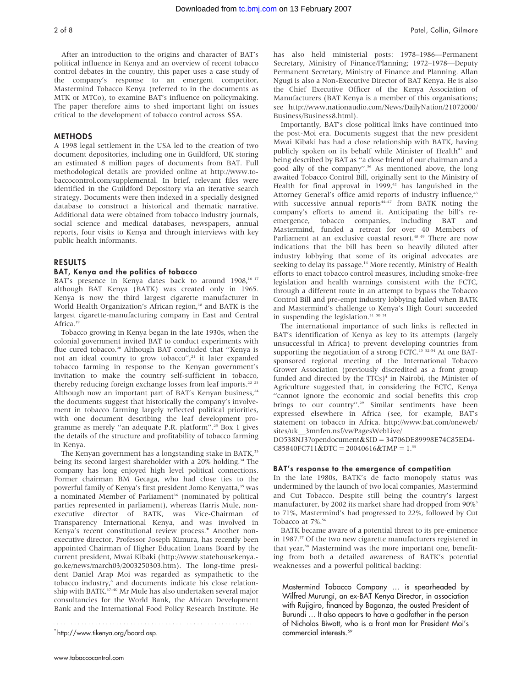After an introduction to the origins and character of BAT's political influence in Kenya and an overview of recent tobacco control debates in the country, this paper uses a case study of the company's response to an emergent competitor, Mastermind Tobacco Kenya (referred to in the documents as MTK or MTCo), to examine BAT's influence on policymaking. The paper therefore aims to shed important light on issues critical to the development of tobacco control across SSA.

## METHODS

A 1998 legal settlement in the USA led to the creation of two document depositories, including one in Guildford, UK storing an estimated 8 million pages of documents from BAT. Full methodological details are provided online at http://www.tobaccocontrol.com/supplemental. In brief, relevant files were identified in the Guildford Depository via an iterative search strategy. Documents were then indexed in a specially designed database to construct a historical and thematic narrative. Additional data were obtained from tobacco industry journals, social science and medical databases, newspapers, annual reports, four visits to Kenya and through interviews with key public health informants.

## RESULTS

#### BAT, Kenya and the politics of tobacco

BAT's presence in Kenya dates back to around 1908,<sup>16 17</sup> although BAT Kenya (BATK) was created only in 1965. Kenya is now the third largest cigarette manufacturer in World Health Organization's African region,<sup>18</sup> and BATK is the largest cigarette-manufacturing company in East and Central Africa<sup>19</sup>

Tobacco growing in Kenya began in the late 1930s, when the colonial government invited BAT to conduct experiments with flue cured tobacco.<sup>20</sup> Although BAT concluded that "Kenya is not an ideal country to grow tobacco",<sup>21</sup> it later expanded tobacco farming in response to the Kenyan government's invitation to make the country self-sufficient in tobacco, thereby reducing foreign exchange losses from leaf imports.<sup>22</sup><sup>23</sup> Although now an important part of BAT's Kenyan business,<sup>24</sup> the documents suggest that historically the company's involvement in tobacco farming largely reflected political priorities, with one document describing the leaf development programme as merely "an adequate P.R. platform".<sup>25</sup> Box 1 gives the details of the structure and profitability of tobacco farming in Kenya.

The Kenyan government has a longstanding stake in BATK,<sup>33</sup> being its second largest shareholder with a 20% holding.<sup>34</sup> The company has long enjoyed high level political connections. Former chairman BM Gecaga, who had close ties to the powerful family of Kenya's first president Jomo Kenyatta,<sup>35</sup> was a nominated Member of Parliament<sup>36</sup> (nominated by political parties represented in parliament), whereas Harris Mule, nonexecutive director of BATK, was Vice-Chairman of Transparency International Kenya, and was involved in Kenya's recent constitutional review process.\* Another nonexecutive director, Professor Joseph Kimura, has recently been appointed Chairman of Higher Education Loans Board by the current president, Mwai Kibaki (http://www.statehousekenya. go.ke/news/march03/2003250303.htm). The long-time president Daniel Arap Moi was regarded as sympathetic to the tobacco industry,<sup>8</sup> and documents indicate his close relationship with BATK.<sup>37-40</sup> Mr Mule has also undertaken several major consultancies for the World Bank, the African Development Bank and the International Food Policy Research Institute. He

has also held ministerial posts: 1978–1986—Permanent Secretary, Ministry of Finance/Planning; 1972–1978—Deputy Permanent Secretary, Ministry of Finance and Planning. Allan Ngugi is also a Non-Executive Director of BAT Kenya. He is also the Chief Executive Officer of the Kenya Association of Manufacturers (BAT Kenya is a member of this organisations; see http://www.nationaudio.com/News/DailyNation/21072000/ Business/Business8.html).

Importantly, BAT's close political links have continued into the post-Moi era. Documents suggest that the new president Mwai Kibaki has had a close relationship with BATK, having publicly spoken on its behalf while Minister of Health<sup>41</sup> and being described by BAT as ''a close friend of our chairman and a good ally of the company''.36 As mentioned above, the long awaited Tobacco Control Bill, originally sent to the Ministry of Health for final approval in  $1999<sup>42</sup>$  has languished in the Attorney General's office amid reports of industry influence,<sup>43</sup> with successive annual reports $44-47$  from BATK noting the company's efforts to amend it. Anticipating the bill's reemergence, tobacco companies, including BAT and Mastermind, funded a retreat for over 40 Members of Parliament at an exclusive coastal resort.<sup>48 49</sup> There are now indications that the bill has been so heavily diluted after industry lobbying that some of its original advocates are seeking to delay its passage.<sup>14</sup> More recently, Ministry of Health efforts to enact tobacco control measures, including smoke-free legislation and health warnings consistent with the FCTC, through a different route in an attempt to bypass the Tobacco Control Bill and pre-empt industry lobbying failed when BATK and Mastermind's challenge to Kenya's High Court succeeded in suspending the legislation.<sup>31 50 51</sup>

The international importance of such links is reflected in BAT's identification of Kenya as key to its attempts (largely unsuccessful in Africa) to prevent developing countries from supporting the negotiation of a strong FCTC.<sup>15 52-54</sup> At one BATsponsored regional meeting of the International Tobacco Grower Association (previously discredited as a front group funded and directed by the TTCs)<sup>4</sup> in Nairobi, the Minister of Agriculture suggested that, in considering the FCTC, Kenya ''cannot ignore the economic and social benefits this crop brings to our country".<sup>29</sup> Similar sentiments have been expressed elsewhere in Africa (see, for example, BAT's statement on tobacco in Africa. http://www.bat.com/oneweb/ sites/uk\_\_3mnfen.nsf/vwPagesWebLive/

DO538NJ3?opendocument&SID = 34706DE89998E74C85ED4-  $C85840FC711&DTC = 20040616&TMP = 1.^{55}$ 

### BAT's response to the emergence of competition

In the late 1980s, BATK's de facto monopoly status was undermined by the launch of two local companies, Mastermind and Cut Tobacco. Despite still being the country's largest manufacturer, by 2002 its market share had dropped from 90%<sup>3</sup> to 71%, Mastermind's had progressed to 22%, followed by Cut Tobacco at 7%.<sup>56</sup>

BATK became aware of a potential threat to its pre-eminence in 1987.<sup>57</sup> Of the two new cigarette manufacturers registered in that year,<sup>58</sup> Mastermind was the more important one, benefiting from both a detailed awareness of BATK's potential weaknesses and a powerful political backing:

Mastermind Tobacco Company … is spearheaded by Wilfred Murungi, an ex-BAT Kenya Director, in association with Rujigiro, financed by Baganza, the ousted President of Burundi … It also appears to have a godfather in the person of Nicholas Biwott, who is a front man for President Moi's commercial interests. \* <sup>59</sup> http://www.tikenya.org/board.asp.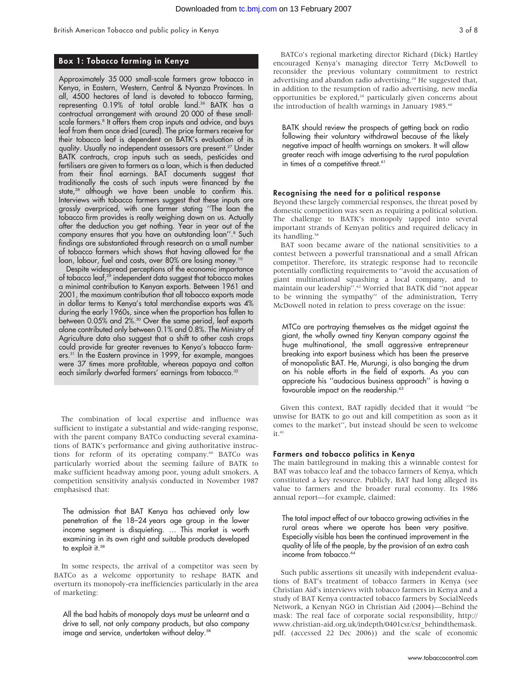British American Tobacco and public policy in Kenya 3 of 8

Approximately 35 000 small-scale farmers grow tobacco in Kenya, in Eastern, Western, Central & Nyanza Provinces. In all, 4500 hectares of land is devoted to tobacco farming, representing 0.19% of total arable land.26 BATK has a contractual arrangement with around 20 000 of these smallscale farmers.<sup>8</sup> It offers them crop inputs and advice, and buys leaf from them once dried (cured). The price farmers receive for their tobacco leaf is dependent on BATK's evaluation of its quality. Usually no independent assessors are present.<sup>27</sup> Under BATK contracts, crop inputs such as seeds, pesticides and fertilisers are given to farmers as a loan, which is then deducted from their final earnings. BAT documents suggest that traditionally the costs of such inputs were financed by the state,<sup>28</sup> although we have been unable to confirm this. Interviews with tobacco farmers suggest that these inputs are grossly overpriced, with one farmer stating ''The loan the tobacco firm provides is really weighing down on us. Actually after the deduction you get nothing. Year in year out of the company ensures that you have an outstanding loan".<sup>8</sup> Such findings are substantiated through research on a small number of tobacco farmers which shows that having allowed for the loan, labour, fuel and costs, over 80% are losing money.<sup>10</sup>

Despite widespread perceptions of the economic importance of tobacco leaf,<sup>29</sup> independent data suggest that tobacco makes a minimal contribution to Kenyan exports. Between 1961 and 2001, the maximum contribution that all tobacco exports made in dollar terms to Kenya's total merchandise exports was 4% during the early 1960s, since when the proportion has fallen to between 0.05% and 2%.30 Over the same period, leaf exports alone contributed only between 0.1% and 0.8%. The Ministry of Agriculture data also suggest that a shift to other cash crops could provide far greater revenues to Kenya's tobacco farmers.<sup>31</sup> In the Eastern province in 1999, for example, mangoes were 37 times more profitable, whereas papaya and cotton each similarly dwarfed farmers' earnings from tobacco.<sup>32</sup>

The combination of local expertise and influence was sufficient to instigate a substantial and wide-ranging response, with the parent company BATCo conducting several examinations of BATK's performance and giving authoritative instructions for reform of its operating company.<sup>60</sup> BATCo was particularly worried about the seeming failure of BATK to make sufficient headway among poor, young adult smokers. A competition sensitivity analysis conducted in November 1987 emphasised that:

The admission that BAT Kenya has achieved only low penetration of the 18–24 years age group in the lower income segment is disquieting. … This market is worth examining in its own right and suitable products developed to exploit it.<sup>58</sup>

In some respects, the arrival of a competitor was seen by BATCo as a welcome opportunity to reshape BATK and overturn its monopoly-era inefficiencies particularly in the area of marketing:

All the bad habits of monopoly days must be unlearnt and a drive to sell, not only company products, but also company image and service, undertaken without delay.<sup>58</sup>

BATCo's regional marketing director Richard (Dick) Hartley encouraged Kenya's managing director Terry McDowell to reconsider the previous voluntary commitment to restrict advertising and abandon radio advertising. $24$  He suggested that, in addition to the resumption of radio advertising, new media opportunities be explored, $24$  particularly given concerns about the introduction of health warnings in January 1985.<sup>60</sup>

BATK should review the prospects of getting back on radio following their voluntary withdrawal because of the likely negative impact of health warnings on smokers. It will allow greater reach with image advertising to the rural population in times of a competitive threat.<sup>61</sup>

## Recognising the need for a political response

Beyond these largely commercial responses, the threat posed by domestic competition was seen as requiring a political solution. The challenge to BATK's monopoly tapped into several important strands of Kenyan politics and required delicacy in its handling.<sup>58</sup>

BAT soon became aware of the national sensitivities to a contest between a powerful transnational and a small African competitor. Therefore, its strategic response had to reconcile potentially conflicting requirements to ''avoid the accusation of giant multinational squashing a local company, and to maintain our leadership".<sup>62</sup> Worried that BATK did "not appear to be winning the sympathy'' of the administration, Terry McDowell noted in relation to press coverage on the issue:

MTCo are portraying themselves as the midget against the giant, the wholly owned tiny Kenyan company against the huge multinational, the small aggressive entrepreneur breaking into export business which has been the preserve of monopolistic BAT. He, Murungi, is also banging the drum on his noble efforts in the field of exports. As you can appreciate his ''audacious business approach'' is having a favourable impact on the readership.<sup>63</sup>

Given this context, BAT rapidly decided that it would ''be unwise for BATK to go out and kill competition as soon as it comes to the market'', but instead should be seen to welcome  $it<sup>41</sup>$ 

## Farmers and tobacco politics in Kenya

The main battleground in making this a winnable contest for BAT was tobacco leaf and the tobacco farmers of Kenya, which constituted a key resource. Publicly, BAT had long alleged its value to farmers and the broader rural economy. Its 1986 annual report—for example, claimed:

The total impact effect of our tobacco growing activities in the rural areas where we operate has been very positive. Especially visible has been the continued improvement in the quality of life of the people, by the provision of an extra cash income from tobacco.<sup>64</sup>

Such public assertions sit uneasily with independent evaluations of BAT's treatment of tobacco farmers in Kenya (see Christian Aid's interviews with tobacco farmers in Kenya and a study of BAT Kenya contracted tobacco farmers by SocialNeeds Network, a Kenyan NGO in Christian Aid (2004)—Behind the mask: The real face of corporate social responsibility, http:// www.christian-aid.org.uk/indepth/0401csr/csr\_behindthemask. pdf. (accessed 22 Dec 2006)) and the scale of economic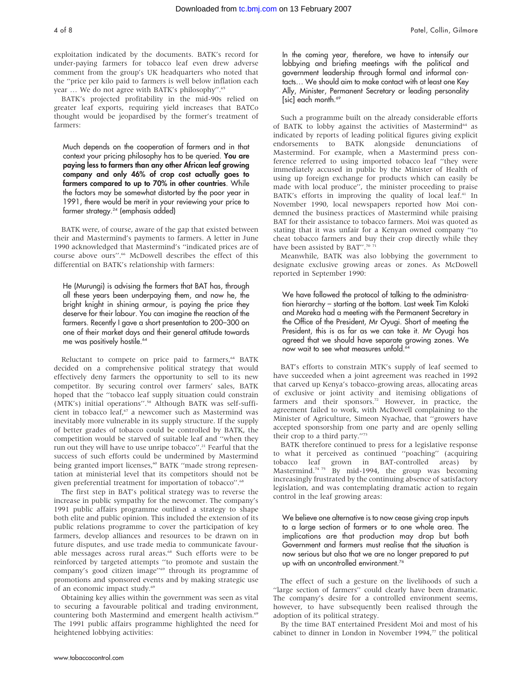exploitation indicated by the documents. BATK's record for under-paying farmers for tobacco leaf even drew adverse comment from the group's UK headquarters who noted that the ''price per kilo paid to farmers is well below inflation each year ... We do not agree with BATK's philosophy".<sup>65</sup>

BATK's projected profitability in the mid-90s relied on greater leaf exports, requiring yield increases that BATCo thought would be jeopardised by the former's treatment of farmers:

Much depends on the cooperation of farmers and in that context your pricing philosophy has to be queried. You are paying less to farmers than any other African leaf growing company and only 46% of crop cost actually goes to farmers compared to up to 70% in other countries. While the factors may be somewhat distorted by the poor year in 1991, there would be merit in your reviewing your price to farmer strategy.24 (emphasis added)

BATK were, of course, aware of the gap that existed between their and Mastermind's payments to farmers. A letter in June 1990 acknowledged that Mastermind's ''indicated prices are of course above ours".<sup>66</sup> McDowell describes the effect of this differential on BATK's relationship with farmers:

He (Murungi) is advising the farmers that BAT has, through all these years been underpaying them, and now he, the bright knight in shining armour, is paying the price they deserve for their labour. You can imagine the reaction of the farmers. Recently I gave a short presentation to 200–300 on one of their market days and their general attitude towards me was positively hostile.<sup>64</sup>

Reluctant to compete on price paid to farmers,<sup>64</sup> BATK decided on a comprehensive political strategy that would effectively deny farmers the opportunity to sell to its new competitor. By securing control over farmers' sales, BATK hoped that the ''tobacco leaf supply situation could constrain (MTK's) initial operations".<sup>58</sup> Although BATK was self-sufficient in tobacco leaf,<sup>67</sup> a newcomer such as Mastermind was inevitably more vulnerable in its supply structure. If the supply of better grades of tobacco could be controlled by BATK, the competition would be starved of suitable leaf and ''when they run out they will have to use unripe tobacco".<sup>21</sup> Fearful that the success of such efforts could be undermined by Mastermind being granted import licenses,<sup>60</sup> BATK "made strong representation at ministerial level that its competitors should not be given preferential treatment for importation of tobacco".<sup>68</sup>

The first step in BAT's political strategy was to reverse the increase in public sympathy for the newcomer. The company's 1991 public affairs programme outlined a strategy to shape both elite and public opinion. This included the extension of its public relations programme to cover the participation of key farmers, develop alliances and resources to be drawn on in future disputes, and use trade media to communicate favourable messages across rural areas.<sup>68</sup> Such efforts were to be reinforced by targeted attempts ''to promote and sustain the company's good citizen image"<sup>69</sup> through its programme of promotions and sponsored events and by making strategic use of an economic impact study.<sup>69</sup>

Obtaining key allies within the government was seen as vital to securing a favourable political and trading environment, countering both Mastermind and emergent health activism.<sup>69</sup> The 1991 public affairs programme highlighted the need for heightened lobbying activities:

In the coming year, therefore, we have to intensify our lobbying and briefing meetings with the political and government leadership through formal and informal contacts… We should aim to make contact with at least one Key Ally, Minister, Permanent Secretary or leading personality [sic] each month.<sup>69</sup>

Such a programme built on the already considerable efforts of BATK to lobby against the activities of Mastermind<sup>64</sup> as indicated by reports of leading political figures giving explicit endorsements to BATK alongside denunciations of Mastermind. For example, when a Mastermind press conference referred to using imported tobacco leaf ''they were immediately accused in public by the Minister of Health of using up foreign exchange for products which can easily be made with local produce'', the minister proceeding to praise BATK's efforts in improving the quality of local leaf.<sup>41</sup> In November 1990, local newspapers reported how Moi condemned the business practices of Mastermind while praising BAT for their assistance to tobacco farmers. Moi was quoted as stating that it was unfair for a Kenyan owned company ''to cheat tobacco farmers and buy their crop directly while they have been assisted by BAT".<sup>70</sup>

Meanwhile, BATK was also lobbying the government to designate exclusive growing areas or zones. As McDowell reported in September 1990:

We have followed the protocol of talking to the administration hierarchy – starting at the bottom. Last week Tim Kaloki and Mareka had a meeting with the Permanent Secretary in the Office of the President, Mr Oyugi. Short of meeting the President, this is as far as we can take it. Mr Oyugi has agreed that we should have separate growing zones. We now wait to see what measures unfold.<sup>64</sup>

BAT's efforts to constrain MTK's supply of leaf seemed to have succeeded when a joint agreement was reached in 1992 that carved up Kenya's tobacco-growing areas, allocating areas of exclusive or joint activity and itemising obligations of farmers and their sponsors.<sup>72</sup> However, in practice, the agreement failed to work, with McDowell complaining to the Minister of Agriculture, Simeon Nyachae, that ''growers have accepted sponsorship from one party and are openly selling their crop to a third party.''73

BATK therefore continued to press for a legislative response to what it perceived as continued ''poaching'' (acquiring tobacco leaf grown in BAT-controlled areas) by Mastermind.<sup>74 75</sup> By mid-1994, the group was becoming increasingly frustrated by the continuing absence of satisfactory legislation, and was contemplating dramatic action to regain control in the leaf growing areas:

We believe one alternative is to now cease giving crop inputs to a large section of farmers or to one whole area. The implications are that production may drop but both Government and farmers must realise that the situation is now serious but also that we are no longer prepared to put up with an uncontrolled environment.<sup>76</sup>

The effect of such a gesture on the livelihoods of such a "large section of farmers" could clearly have been dramatic. The company's desire for a controlled environment seems, however, to have subsequently been realised through the adoption of its political strategy.

By the time BAT entertained President Moi and most of his cabinet to dinner in London in November 1994,<sup>77</sup> the political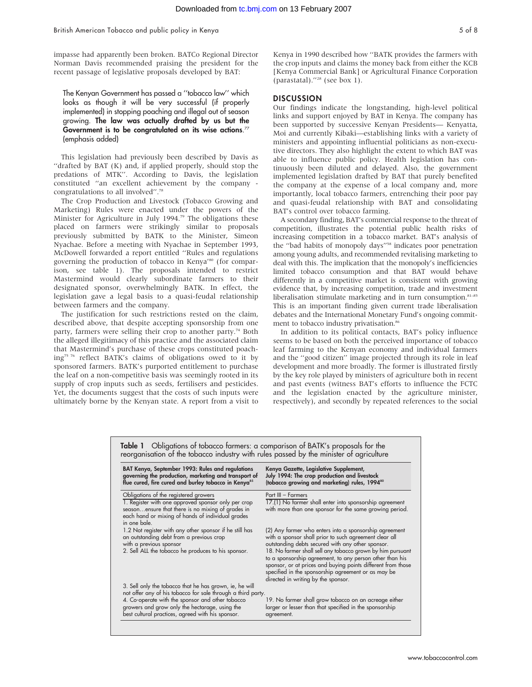British American Tobacco and public policy in Kenya 5 of 8

The Kenyan Government has passed a ''tobacco law'' which looks as though it will be very successful (if properly implemented) in stopping poaching and illegal out of season growing. The law was actually drafted by us but the Government is to be congratulated on its wise actions. $^{77}$ (emphasis added)

This legislation had previously been described by Davis as ''drafted by BAT (K) and, if applied properly, should stop the predations of MTK''. According to Davis, the legislation constituted ''an excellent achievement by the company congratulations to all involved''.78

The Crop Production and Livestock (Tobacco Growing and Marketing) Rules were enacted under the powers of the Minister for Agriculture in July 1994.<sup>79</sup> The obligations these placed on farmers were strikingly similar to proposals previously submitted by BATK to the Minister, Simeon Nyachae. Before a meeting with Nyachae in September 1993, McDowell forwarded a report entitled ''Rules and regulations governing the production of tobacco in Kenya'<sup>80</sup> (for comparison, see table 1). The proposals intended to restrict Mastermind would clearly subordinate farmers to their designated sponsor, overwhelmingly BATK. In effect, the legislation gave a legal basis to a quasi-feudal relationship between farmers and the company.

The justification for such restrictions rested on the claim, described above, that despite accepting sponsorship from one party, farmers were selling their crop to another party.<sup>74</sup> Both the alleged illegitimacy of this practice and the associated claim that Mastermind's purchase of these crops constituted poaching75 76 reflect BATK's claims of obligations owed to it by sponsored farmers. BATK's purported entitlement to purchase the leaf on a non-competitive basis was seemingly rooted in its supply of crop inputs such as seeds, fertilisers and pesticides. Yet, the documents suggest that the costs of such inputs were ultimately borne by the Kenyan state. A report from a visit to

Kenya in 1990 described how ''BATK provides the farmers with the crop inputs and claims the money back from either the KCB [Kenya Commercial Bank] or Agricultural Finance Corporation (parastatal). $1^{\prime\prime\prime\prime\prime}$  (see box 1).

## **DISCUSSION**

Our findings indicate the longstanding, high-level political links and support enjoyed by BAT in Kenya. The company has been supported by successive Kenyan Presidents— Kenyatta, Moi and currently Kibaki—establishing links with a variety of ministers and appointing influential politicians as non-executive directors. They also highlight the extent to which BAT was able to influence public policy. Health legislation has continuously been diluted and delayed. Also, the government implemented legislation drafted by BAT that purely benefited the company at the expense of a local company and, more importantly, local tobacco farmers, entrenching their poor pay and quasi-feudal relationship with BAT and consolidating BAT's control over tobacco farming.

A secondary finding, BAT's commercial response to the threat of competition, illustrates the potential public health risks of increasing competition in a tobacco market. BAT's analysis of the ''bad habits of monopoly days''58 indicates poor penetration among young adults, and recommended revitalising marketing to deal with this. The implication that the monopoly's inefficiencies limited tobacco consumption and that BAT would behave differently in a competitive market is consistent with growing evidence that, by increasing competition, trade and investment liberalisation stimulate marketing and in turn consumption. $81-85$ This is an important finding given current trade liberalisation debates and the International Monetary Fund's ongoing commitment to tobacco industry privatisation.<sup>86</sup>

In addition to its political contacts, BAT's policy influence seems to be based on both the perceived importance of tobacco leaf farming to the Kenyan economy and individual farmers and the ''good citizen'' image projected through its role in leaf development and more broadly. The former is illustrated firstly by the key role played by ministers of agriculture both in recent and past events (witness BAT's efforts to influence the FCTC and the legislation enacted by the agriculture minister, respectively), and secondly by repeated references to the social

| BAT Kenya, September 1993: Rules and regulations<br>governing the production, marketing and transport of<br>flue cured, fire cured and burley tobacco in Kenya <sup>85</sup>                                           | Kenya Gazette, Legislative Supplement,<br>July 1994: The crop production and livestock<br>(tobacco growing and marketing) rules, 1994 <sup>80</sup>                                                                                                                                                                                                                                                                                                           |
|------------------------------------------------------------------------------------------------------------------------------------------------------------------------------------------------------------------------|---------------------------------------------------------------------------------------------------------------------------------------------------------------------------------------------------------------------------------------------------------------------------------------------------------------------------------------------------------------------------------------------------------------------------------------------------------------|
| Obligations of the registered growers<br>1. Register with one approved sponsor only per crop<br>seasonensure that there is no mixing of grades in<br>each hand or mixing of hands of individual grades<br>in one bale. | Part III - Farmers<br>17.(1) No farmer shall enter into sponsorship agreement<br>with more than one sponsor for the same growing period.                                                                                                                                                                                                                                                                                                                      |
| 1.2 Not register with any other sponsor if he still has<br>an outstanding debt from a previous crop<br>with a previous sponsor<br>2. Sell ALL the tobacco he produces to his sponsor.                                  | (2) Any farmer who enters into a sponsorship agreement<br>with a sponsor shall prior to such agreement clear all<br>outstanding debts secured with any other sponsor.<br>18. No farmer shall sell any tobacco grown by him pursuant<br>to a sponsorship agreement, to any person other than his<br>sponsor, or at prices and buying points different from those<br>specified in the sponsorship agreement or as may be<br>directed in writing by the sponsor. |
| 3. Sell only the tobacco that he has grown, ie, he will<br>not offer any of his tobacco for sale through a third party.                                                                                                |                                                                                                                                                                                                                                                                                                                                                                                                                                                               |
| 4. Co-operate with the sponsor and other tobacco<br>growers and grow only the hectarage, using the<br>best cultural practices, agreed with his sponsor.                                                                | 19. No farmer shall grow tobacco on an acreage either<br>larger or lesser than that specified in the sponsorship<br>agreement.                                                                                                                                                                                                                                                                                                                                |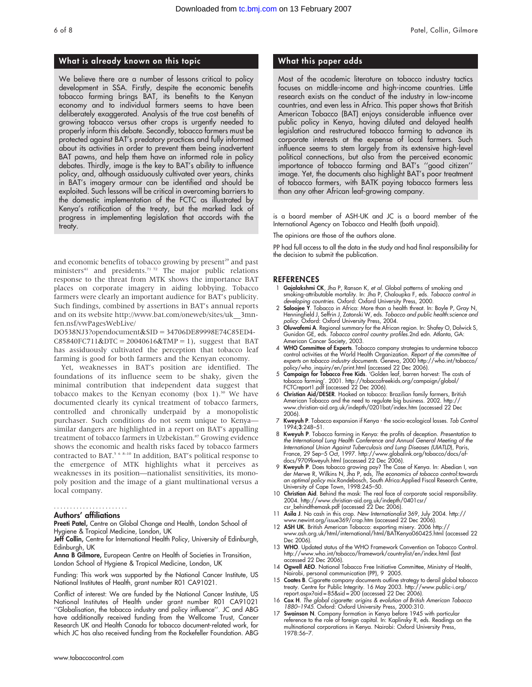## What is already known on this topic

We believe there are a number of lessons critical to policy development in SSA. Firstly, despite the economic benefits tobacco farming brings BAT, its benefits to the Kenyan economy and to individual farmers seems to have been deliberately exaggerated. Analysis of the true cost benefits of growing tobacco versus other crops is urgently needed to properly inform this debate. Secondly, tobacco farmers must be protected against BAT's predatory practices and fully informed about its activities in order to prevent them being inadvertent BAT pawns, and help them have an informed role in policy debates. Thirdly, image is the key to BAT's ability to influence policy, and, although assiduously cultivated over years, chinks in BAT's imagery armour can be identified and should be exploited. Such lessons will be critical in overcoming barriers to the domestic implementation of the FCTC as illustrated by Kenya's ratification of the treaty, but the marked lack of progress in implementing legislation that accords with the treaty.

and economic benefits of tobacco growing by present<sup>29</sup> and past ministers<sup>41</sup> and presidents.<sup>71 72</sup> The major public relations response to the threat from MTK shows the importance BAT places on corporate imagery in aiding lobbying. Tobacco farmers were clearly an important audience for BAT's publicity. Such findings, combined by assertions in BAT's annual reports and on its website http://www.bat.com/oneweb/sites/uk\_\_3mnfen.nsf/vwPagesWebLive/

DO538NJ3?opendocument&SID = 34706DE89998E74C85ED4-  $C85840FC711&DTC = 20040616&TMP = 1$ , suggest that BAT has assiduously cultivated the perception that tobacco leaf farming is good for both farmers and the Kenyan economy.

Yet, weaknesses in BAT's position are identified. The foundations of its influence seem to be shaky, given the minimal contribution that independent data suggest that tobacco makes to the Kenyan economy (box  $1$ ).<sup>30</sup> We have documented clearly its cynical treatment of tobacco farmers, controlled and chronically underpaid by a monopolistic purchaser. Such conditions do not seem unique to Kenya similar dangers are highlighted in a report on BAT's appalling treatment of tobacco farmers in Uzbekistan.<sup>87</sup> Growing evidence shows the economic and health risks faced by tobacco farmers contracted to BAT.<sup>5 6 8-10</sup> In addition, BAT's political response to the emergence of MTK highlights what it perceives as weaknesses in its position—nationalist sensitivities, its monopoly position and the image of a giant multinational versus a local company.

#### Authors' affiliations .......................

Preeti Patel, Centre on Global Change and Health, London School of Hygiene & Tropical Medicine, London, UK

Jeff Collin, Centre for International Health Policy, University of Edinburgh, Edinburgh, UK

Anna B Gilmore, European Centre on Health of Societies in Transition, London School of Hygiene & Tropical Medicine, London, UK

Funding: This work was supported by the National Cancer Institute, US National Institutes of Health, grant number R01 CA91021.

Conflict of interest: We are funded by the National Cancer Institute, US National Institutes of Health under grant number R01 CA91021 ''Globalisation, the tobacco industry and policy influence''. JC and ABG have additionally received funding from the Wellcome Trust, Cancer Research UK and Health Canada for tobacco document-related work, for which JC has also received funding from the Rockefeller Foundation. ABG

## What this paper adds

Most of the academic literature on tobacco industry tactics focuses on middle-income and high-income countries. Little research exists on the conduct of the industry in low-income countries, and even less in Africa. This paper shows that British American Tobacco (BAT) enjoys considerable influence over public policy in Kenya, having diluted and delayed health legislation and restructured tobacco farming to advance its corporate interests at the expense of local farmers. Such influence seems to stem largely from its extensive high-level political connections, but also from the perceived economic importance of tobacco farming and BAT's ''good citizen'' image. Yet, the documents also highlight BAT's poor treatment of tobacco farmers, with BATK paying tobacco farmers less than any other African leaf-growing company.

is a board member of ASH-UK and JC is a board member of the International Agency on Tobacco and Health (both unpaid).

The opinions are those of the authors alone.

PP had full access to all the data in the study and had final responsibility for the decision to submit the publication.

### **REFERENCES**

- 1 **Gajalakshmi CK**, Jha P, Ranson K, *et al.* Global patterns of smoking and<br>smoking-attributable mortality. In: Jha P, Chaloupka F, eds. To*bacco control in*<br>developing countries. Oxford: Oxford University Press, 2000.<br>2
- policy. Oxford: Oxford University Press, 2004.
- 3 Oluwafemi A. Regional summary for the African region. In: Shafey O, Dolwick S, Gunidon GE, eds. Tobacco control country profiles.2nd edn. Atlanta, GA: American Cancer Society, 2003.
- 4 WHO Committee of Experts. Tobacco company strategies to undermine tobacco control activities at the World Health Organization. Report of the committee of experts on tobacco industry documents. Geneva, 2000 http://who.int/tobacco/
- policy/who\_inquiry/en/print.html (accessed 22 Dec 2006).<br>5 **Campaign for Tobacco Free Kids**. 'Golden leaf, barren harvest: The costs of tobacco farming'. 2001. http://tobaccofreekids.org/campaign/global/ FCTCreport1.pdf (accessed 22 Dec 2006).
- 6 Christian Aid/DESER. Hooked on tobacco: Brazilian family farmers, British American Tobacco and the need to regulate big business. 2002. http:// www.christian-aid.org.uk/indepth/0201bat/index.htm (accessed 22 Dec 2006).
- 7 Kweyuh P. Tobacco expansion if Kenya the socio-ecological losses. Tob Control 1994;3:248–51.
- 8 Kweyuh P. Tobacco tarming in Kenya: the protits of deception. Presentation to<br>the International Lung Health Conference and Annual General Meeting of the<br>International Union Against Tuberculosis and Lung Diseases (UIATLD)
- 9 Kweyuh P. Does tobacco growing pay? The Case of Kenya. In: Abedian I, van der Merwe R, Wilkins N, Jha P, eds, The economics of tobacco control:towards an optimal policy mix.Rondebosch, South Africa:Applied Fiscal Research Centre, University of Cape Town, 1998:245–50.
- 10 Christian Aid. Behind the mask: The real face of corporate social responsibility. 2004. http://www.christian-aid.org.uk/indepth/0401csr/ csr\_behindthemask.pdf (accessed 22 Dec 2006).
- 11 Asila J. No cash in this crop. New Internationalist 369, July 2004. http:// www.newint.org/issue369/crop.htm (accessed 22 Dec 2006).
- 12 ASH UK. British American Tobacco: exporting misery. 2006 http:// www.ash.org.uk/html/international/html/BATKenya060425.html (accessed 22 Dec 2006).
- 13 WHO. Updated status of the WHO Framework Convention on Tobacco Control. http://www.who.int/tobacco/framework/countrylist/en/index.html (last accessed 22 Dec 2006).
- 14 Ogwell AEO. National Tobacco Free Initiative Committee, Ministry of Health,
- Nairobi, personal communication (PP), 9 2005.<br>15 **Coates B**. Cigarette company documents outline strategy to derail global tobacco treaty. Centre for Public Integrity. 16 May 2003. http://www.public-i.org/ report.aspx?aid = 85&sid = 200 (accessed 22 Dec 2006).
- 16 Cox H. The global cigarette: origins & evolution of British American Tobacco 1880–1945. Oxford: Oxford University Press, 2000:310.
- 17 Swainson N. Company formation in Kenya before 1945 with particular reference to the role of foreign capital. In: Kaplinsky R, eds. Readings on the multinational corporations in Kenya. Nairobi: Oxford University Press, 1978:56–7.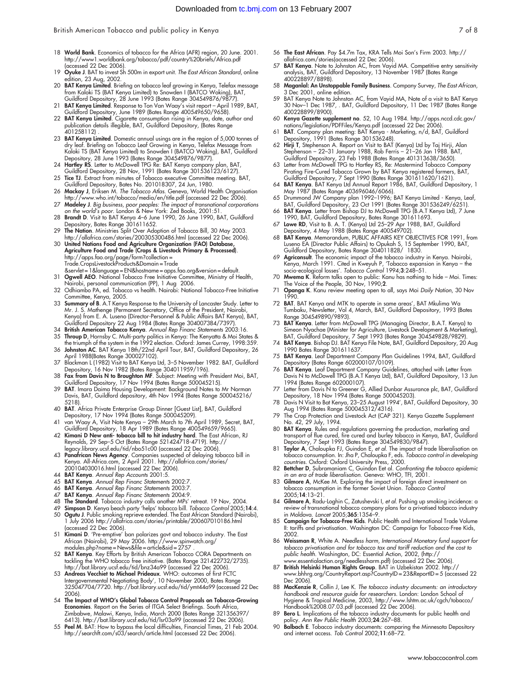British American Tobacco and public policy in Kenya 7 of 8 and 2008 and 2008 and 2008 and 2008 and 2008 and 20

- 18 World Bank. Economics of tobacco for the Africa (AFR) region, 20 June. 2001. http://www1.worldbank.org/tobacco/pdf/country%20briefs/Africa.pdf (accessed 22 Dec 2006).
- 19 Oyuke J. BAT to invest Sh 500m in export unit. The East African Standard, online edition, 23 Aug, 2002.
- 20 BAT Kenya Limited. Briefing on tobacco leaf growing in Kenya, Telefax message from Kaloki TS (BAT Kenya Limited) to Snowden I (BATCO Woking), BAT,
- Guildford Depository, 28 June 1993 (Bates Range 304549876/9877). 21 BAT Kenya Limited. Response to Ton Van Waay's visit report April 1989, BAT, Guildford Depository, June 1989 (Bates Range 400549650/9658).
- 22 BAT Kenya Limited. Cigarette consumption rising in Kenya, date, author and publication details illegible, BAT, Guildford Depository, (Bates Range 401258112) .
- 23 **BAT Kenya Limited**. Domestic annual usings are in the region of 5,000 tonnes of<br>dry leaf. Briefing on Tobacco Leaf Growing in Kenya, Telefax Message from<br>Kaloki TS (BAT Kenya Limited) to Snowden I (BATCO Woking), BAT,
- Guildford Depository, 28 Nov, 1991 (Bates Range 301536123/6127).
- 25 Tice TJ. Extract from minutes of Tobacco executive Committee meeting. BAT,
- Guildtord Depository, Bates No. 201018307, 24 Jun, 1980.<br>26 Mackay J, Eriksen M. *The Tobacco Atlas*. Geneva, World Health Organisation
- http://www.who.int/tobacco/media/en/title.pdt (accessed 22 Dec 2006).<br>27 **Madeley J**. Big business, poor peoples: The impact of transnational corporations<br>37 on the world's poor. London & New York: Zed Books, 2001:51.
- 28 Brandt D. Visit to BAT Kenya 4-6 June 1990, 26 June 1990, BAT, Guildford Depository, Bates Range 301611652.
- 29 The Nation. Ministries Split Over Adoption of Tobacco Bill, 30 May 2003. http://allafrica.com/stories/200305300486.html (accessed 22 Dec 2006). 30 United Nations Food and Agriculture Organization (FAO) Database,
- Agriculture Food and Trade (Crops & Livestock Primary & Processed). http://apps.fao.org/page/form?collection = Trade.CropsLivestockProducts&Domain = Trade &servlet = 1&language = EN&hostname = apps.fao.org&version = default.
- 31 Ogwell AEO. National Tobacco Free Initiative Committee, Ministry of Health,
- Nairobi, personal communication (PP), 1 Aug 2006. 32 Odhiambo PA, ed. Tobacco vs health. Nairobi: National Tobacco-Free Initiative Committee, Kenya, 2005.
- 33 Summary of B. A.T Kenya Response to the University of Lancaster Study. Letter to Mr. J. S. Mathenge (Permanent Secretary, Office of the President, Nairobi, Kenya) from E. A. Luseno (Director-Personnel & Public Affairs BAT Kenya), BAT, Guildford Depository 22 Aug 1984 (Bates Range 304007384/7397).<br>34 **British American Tobacco Kenya**. Annual Rep Financ Statements 2003:16.
- 
- 35 Throup D, Hornsby C. Multi-party politics in Kenya: The Kenyatta & Moi States & the triumph of the system in the 1992 election. Oxford: James Currey, 1998:359.
- 36 Johnston AC. BAT Kenya 18th/22nd April Tour, BAT, Guildford Depository, 26 April 1988(Bates Range 300027102).
- 37 Blackman L (1982) Visit to BAT Kenya Ltd, 3–5 November 1982. BAT, Guildford Depository, 16 Nov 1982 (Bates Range 304011959/196).
- 38 Fax from Davis N to Broughton MF. Subject: Meeting with President Moi, BAT, Guildford Depository, 17 Nov 1994 (Bates Range 500045215).
- BAT. Imara Daima Housing Development: Background Notes to Mr Norman Davis, BAT, Guildford depository, 4th Nov 1994 (Bates Range 500045216/ 5218).
- 40 BAT. Africa Private Enterprise Group Dinner [Guest List], BAT, Guildford Depository, 17 Nov 1994 (Bates Range 500045209).
- 41 van Waay A, Visit Note Kenya 29th March to 7th April 1989, Secret, BAT,<br>Guildford Depository, 18 Apr 1989 (Bates Range 400549659/9665).<br>42 Kimani D New anti- tobacco bill to hit industry hard. The East African, RJ<br>Rey
- legacy.library.ucsf.edu/tid/nbo51c00 (accessed 22 Dec 2006).
- 43 Panafrican News Agency. Companies suspected of delaying tobacco bill in Kenya. All-Africa.com, 2 April 2001. http://allafrica.com/stories/ 200104030016.html (accessed 22 Dec 2006).
- 
- 44 **BAT Kenya**. Annual Rep Accounts 2001:5.<br>45 **BAT Kenya**. Annual Rep Financ Statements 2002:7.<br>46 **BAT Kenya**. Annual Rep Financ Statements 2003:7.
- 
- BAT Kenya. Annual Rep Financ Statements 2004:9.
- 48 The Standard. Tobacco industry calls another MPs' retreat. 19 Nov, 2004.
- 49 **Simpson D**. Kenya beach party 'helps' tobacco bill. Tobacco Control 2005;14:4.<br>50 **Ogutu J** Public smoking reprieve extended. The East African Standard (Nairobil) 50 Ogutu J. Public smoking reprieve extended. The East African Standard (Nairobi), 1 July 2006 http://allafrica.com/stories/printable/200607010186.html accessed 22 Dec 2006).
- 51 **Kimani D**. 'Pre-emptive' ban polarizes govt and tobacco industry. The East<br>African (Nairobi), 29 May 2006. http://www.spinwatch.org/<br>modules.php?name=News&file=article&sid=2757 .
- BAT Kenya. Key Efforts by British American Tobacco CORA Departments on tackling the WHO tobacco free initiative. (Bates Range 321422732/2735).
- http://bat.library.ucsf.edu/tid/bnz34a99 (accessed 22 Dec 2006). 53 Andreas Vecchiet to Michael Prideaux. WHO: outcomes of first FCTC Intergovernmental Negotiating Body', 10 November 2000, Bates Range 325047704/7720. http://bat.library.ucsf.edu/tid/ymt44a99 (accessed 22 Dec 2006).
- 54 The Impact of WHO's Global Tobacco Control Proposals on Tobacco-Growing Economies. Report on the Series of ITGA Select Briefings. South Africa, Zimbabwe, Malawi, Kenya, India, March 2000 (Bates Range 321356397/
- 6413). http://bat.library.ucsf.edu/tid/lsr03a99 (accessed 22 Dec 2006). 55 Peel M. BAT: How to bypass the local difficulties, Financial Times, 21 Feb 2004. http://searchft.com/s03/search/article.html (accessed 22 Dec 2006).
- 56 The East African. Pay \$4.7m Tax, KRA Tells Moi Son's Firm 2003. http:// allafrica.com/stories(accessed 22 Dec 2006).
- 57 BAT Kenya. Note to Johnston AC, from Vayid MA. Competitive entry sensitivity analysis, BAT, Guildford Depository, 13 November 1987 (Bates Range 400228897/8898).
- 58 Maganlal: An Unstoppable Family Business. Company Survey, The East African, 3 Dec 2001, online edition.
- 59 BAT Kenya Note to Johnston AC, from Vayid MA, Note of a visit to BAT Kenya 30 Nov–1 Dec 1987, . BAT, Guildford Depository, 11 Dec 1987 (Bates Range 400228899/8900).
- 60 Kenya Gazette supplement no. 52, 10 Aug 1984. http://apps.nccd.cdc.gov/
- nations/legislation/PDFFiles/Kenya.pdf (accessed 22 Dec 2006).<br>61 **BAT**. Company plan meeting: BAT Kenya Marketing, n/d, BAT, Guildford<br>Depository, 1991 (Bates Range 301536248).
- 62 Hirji T, Stephenson A. Report on Visit to BAT (Kenya) Ltd by Taj Hirji, Alan<br>1988. Robenson 22–31 January 1988, Rob Ferris 21–26 Jan 1988. BAT,<br>Guildford Depository, 23 Feb 1988 (Bates Range 401313638/3650).<br>63 Lett
- Pirating Fire-Cured Tobacco Grown by BAT Kenya registered farmers, BAT, Guildford Depository, 7 Sept 1990 (Bates Range 301611620/1621).
- 64 BAT Kenya. BAT Kenya Ltd Annual Report 1986, BAT, Guildford Depository, 1
- May 1987 (Bates Range 403696046/6066).<br>65 Drummond JW Company plan 1992–1996; BAT Kenya Limited Kenya, Leaf,<br>BAT, Guildford Depository, 23 Oct 1991 (Bates Range 301536249/6251).<br>66 **BAT Kenya.** Letter from Bishop DJ to M
- 1990, BAT, Guildford Depository, Bates Range 301611693.
- 67 Lowe RD, Visit to B. A. T. (Kenya) Ltd 25–29 Apr 1988, BAT, Guildford Depository, 4 May 1988 (Bates Range 400549702).
- 68 BAT Kenya. Memorandum, PUBLIC AFFAIRS KEY OBJECTIVES FOR 1991, from Luseno EA (Director Public Affairs) to Opukah S, 15 September 1990, BAT, Guildford Depository, Bates Range 304011828/ 1830.
- 69 Agriconsult. The economic impact of the tobacco industry in Kenya. Nairobi, Kenya, March 1991. Cited in Kweyuh P, 'Tobacco expansion in Kenya the
- socio-ecological losses'. *Tobacco Control* 1994;**3**:248–51.<br>70 Mwema K. Reform talks open to public: Kanu has nothing to hide Moi. Times: The Voice of the People, 30 Nov, 1990;2.
- 71 Opanga K. Kanu review meeting open to all, says Moi Daily Nation, 30 Nov 1990.
- 72 BAT. BAT Kenya and MTK to operate in same areas', BAT Mkulima Wa Tumbaku, Newsletter, Vol 4, March, BAT, Guildford Depository, 1993 (Bates Range 304549890/9893).
- 73 BAT Kenya. Letter from McDowell TPG (Managing Director, B.A.T. Kenya) to Simeon Nyachae (Minister for Agriculture, Livestock Development & Marketing), BAT, Guildford Depository, 7 Sept 1993 (Bates Range 304549828/9829).
- 74 BAT Kenya. Bishop DJ. BAT Kenya File Note, BAT, Guildford Depository, 20 Aug 1990 Bates Range 301611637. 75 BAT Kenya. Leaf Department Company Plan Guidelines 1994, BAT, Guildford
- Depository (Bates Range 602000107/0109).
- 76 BAT Kenya. Leaf Department Company Guidelines, attached with Letter from Davis N to McDowell TPG (B.A.T Kenya Ltd), BAT, Guildford Depository, 13 Jun 1994 (Bates Range 602000107).
- Letter from Davis N to Greener G, Allied Dunbar Assurance plc, BAT, Guildford Depository, 18 Nov 1994 (Bates Range 500045203).
- 78 Davis N Visit to Bat Kenya, 23–25 August 1994', BAT, Guildford Depository, 30 Aug 1994 (Bates Range 500045312/4316).
- 79 The Crop Protection and Livestock Act (CAP 321). Kenya Gazette Supplement No. 42, 29 July, 1994. 80 BAT Kenya. Rules and regulations governing the production, marketing and
- transport of flue cured, fire cured and burley tobacco in Kenya, BAT, Guildford Depository, 7 Sept 1993 (Bates Range 304549830/9847).
- Taylor A, Chaloupka FJ, Guindon E, et al. The impact of trade liberalisation on tobacco consumption. In: Jha P, Chaloupka F, eds. Tobacco control in developing countries. Oxford: Oxford University Press, 2000.
- 82 Bettcher D, Subramaniam C, Guindon Eet al. Confronting the tobacco epidemic in an era of trade liberalisation. Geneva: WHO, TFI, 2001.
- 83 Gilmore A, McKee M. Exploring the impact of foreign direct investment on tobacco consumption in the former Soviet Union. Tobacco Control 2005;14:13–21.
- 84 Gilmore A, Radu-Loghin C, Zatushevski I, et al. Pushing up smoking incidence: a review of transnational tobacco company plans for a privatised tobacco industry in Moldova. Lancet 2005;365:1354–9.
- 85 Campaign for Tobacco-Free Kids. Public Health and International Trade Volume II: tariffs and privatisation. Washington DC: Campaign for Tobacco-Free Kids, 2002.
- 86 Weissman R, White A. Needless harm, International Monetary fund support for tobacco privatisation and for tobacco tax and tariff reduction and the cost to public health. Washington, DC: Essential Action, 2002, (http:// www.essentialaction.org/needlessharm.pdf) (accessed 22 Dec 2006).
- 87 British Helsinki Human Rights Group. BAT in Uzbekistan 2002. http:// www.bhhrg.org/CountryReport.asp?CountryID = 23&ReportID = 5 (accessed 22 Dec 2006)
- 88 MacKenzie R, Collin J, Lee K. The tobacco industry documents: an introductory handbook and resource guide for researchers. London: London School of Hygiene & Tropical Medicine, 2003, http://www.lshtm.ac.uk/cgch/tobacco/ Handbook%2008.07.03.pdf (accessed 22 Dec 2006).
- 89 Bero L. Implications of the tobacco industry documents for public health and policy. Ann Rev Public Health 2003;24:267-88.
- 90 **Balbach E**. Tobacco industry documents: comparing the Minnesota Depository and internet access. Tob Control 2002;11:68–72.